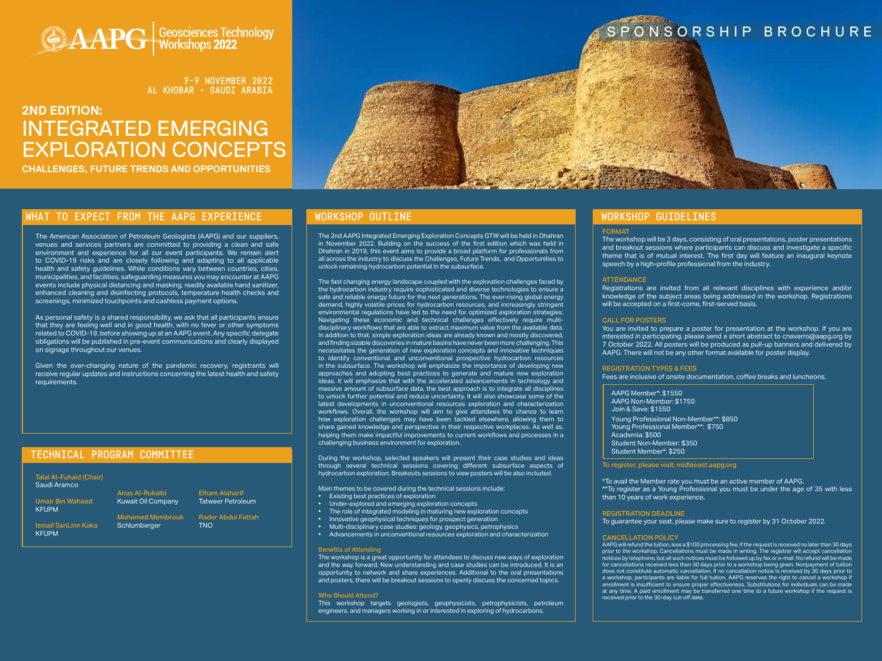### TECHNICAL PROGRAM COMMITTEE



7-9 NOVEMBER 2022 AL KHOBAR • SAUDI ARABIA

# **2ND EDITION:** INTEGRATED EMERGING EXPLORATION CONCEPTS **CHALLENGES, FUTURE TRENDS AND OPPORTUNITIES**



#### WHAT TO EXPECT FROM THE AAPG EXPERIENCE WORKSHOP OUTLINE WORK WORKSHOP WORKSHOP GUIDELINES

#### FORMAT

The workshop will be 3 days, consisting of oral presentations, poster presentations and breakout sessions where participants can discuss and investigate a specific theme that is of mutual interest. The first day will feature an inaugural keynote speech by a high-profile professional from the industry.

#### **ATTENDANCE**

Registrations are invited from all relevant disciplines with experience and/or knowledge of the subject areas being addressed in the workshop. Registrations will be accepted on a first-come, first-served basis.

#### CALL FOR POSTERS

You are invited to prepare a poster for presentation at the workshop. If you are interested in participating, please send a short abstract to cnavarro@aapg.org by 7 October 2022. All posters will be produced as pull-up banners and delivered by AAPG. There will not be any other format available for poster display.

#### REGISTRATION TYPES & FEES

Fees are inclusive of onsite documentation, coffee breaks and luncheons.

AAPG Member\*: \$1550 AAPG Non-Member: \$1750 Join & Save: \$1550 Young Professional Non-Member\*\*: \$850 Young Professional Member\*\*: \$750 Academia: \$500 Student Non-Member: \$350 [Student Member\\*: \\$250](https://www.aapg.org/global/middleeast/events/workshop/articleid/57290/geological-process-based-forward-modeling#149242235-registration) 

Mohamed Membrouk Schlumberger

To register, please visit: midleeast.aapg.org

\*To avail the Member rate you must be an active member of AAPG. \*\*To register as a Young Professional you must be under the age of 35 with less than 10 years of work experience.

#### REGISTRATION DEADLINE

To guarantee your seat, please make sure to register by 31 October 2022.

#### CANCELLATION POLICY

AAPG will refund the tuition, less a \$100 processing fee, if the request is received no later than 30 days prior to the workshop. Cancellations must be made in writing. The registrar will accept cancellation notices by telephone, but all such notices must be followed up by fax or e-mail. No refund will be made for cancellations received less than 30 days prior to a workshop being given. Nonpayment of tuition does not constitute automatic cancellation. If no cancellation notice is received by 30 days prior to a workshop, participants are liable for full tuition. AAPG reserves the right to cancel a workshop if enrollment is insufficient to ensure proper effectiveness. Substitutions for individuals can be made at any time. A paid enrollment may be transferred one time to a future workshop if the request is received prior to the 30-day cut-off date.

Talal Al-Fuhaid (Chair) Saudi Aramco

Umair Bin Waheed KFUPM

Ismail SanLinn Kaka KFUPM

Anas Al-Rukaibi Kuwait Oil Company Elham Alsharif

Tatweer Petroleum Rader Abdul Fattah

TNO

The 2nd AAPG Integrated Emerging Exploration Concepts GTW will be held in Dhahran in November 2022. Building on the success of the first edition which was held in Dhahran in 2019, this event aims to provide a broad platform for professionals from all across the industry to discuss the Challenges, Future Trends, and Opportunities to unlock remaining hydrocarbon potential in the subsurface.

The fast changing energy landscape coupled with the exploration challenges faced by the hydrocarbon industry require sophisticated and diverse technologies to ensure a safe and reliable energy future for the next generations. The ever-rising global energy demand, highly volatile prices for hydrocarbon resources, and increasingly stringent environmental regulations have led to the need for optimized exploration strategies. Navigating these economic and technical challenges effectively require multidisciplinary workflows that are able to extract maximum value from the available data. In addition to that, simple exploration ideas are already known and mostly discovered, and finding sizable discoveries in mature basins have never been more challenging. This necessitates the generation of new exploration concepts and innovative techniques to identify conventional and unconventional prospective hydrocarbon resources in the subsurface. The workshop will emphasize the importance of developing new approaches and adopting best practices to generate and mature new exploration ideas. It will emphasize that with the accelerated advancements in technology and massive amount of subsurface data, the best approach is to integrate all disciplines to unlock further potential and reduce uncertainty. It will also showcase some of the latest developments in unconventional resources exploration and characterization workflows. Overall, the workshop will aim to give attendees the chance to learn how exploration challenges may have been tackled elsewhere, allowing them to share gained knowledge and perspective in their respective workplaces. As well as, helping them make impactful improvements to current workflows and processes in a challenging business environment for exploration.

During the workshop, selected speakers will present their case studies and ideas through several technical sessions covering different subsurface aspects of hydrocarbon exploration. Breakouts sessions to view posters will be also included.

Main themes to be covered during the technical sessions include:

- Existing best practices of exploration
- Under-explored and emerging exploration concepts
- The role of integrated modeling in maturing new exploration concepts
- Innovative geophysical techniques for prospect generation
- Multi-disciplinary case studies: geology, geophysics, petrophysics
- Advancements in unconventional resources exploration and characterization

#### Benefits of Attending

The workshop is a great opportunity for attendees to discuss new ways of exploration and the way forward. New understanding and case studies can be introduced. It is an opportunity to network and share experiences. Additional to the oral presentations and posters, there will be breakout sessions to openly discuss the concerned topics.

Who Should Attend?

This workshop targets geologists, geophysicists, petrophysicists, petroleum engineers, and managers working in or interested in exploring of hydrocarbons.

# SPONSORSHIP BROCHURE

The American Association of Petroleum Geologists (AAPG) and our suppliers, venues and services partners are committed to providing a clean and safe environment and experience for all our event participants. We remain alert to COVID-19 risks and are closely following and adapting to all applicable health and safety guidelines. While conditions vary between countries, cities, municipalities, and facilities, safeguarding measures you may encounter at AAPG events include physical distancing and masking, readily available hand sanitizer, enhanced cleaning and disinfecting protocols, temperature health checks and screenings, minimized touchpoints and cashless payment options.

As personal safety is a shared responsibility, we ask that all participants ensure that they are feeling well and in good health, with no fever or other symptoms related to COVID-19, before showing up at an AAPG event. Any specific delegate obligations will be published in pre-event communications and clearly displayed on signage throughout our venues.

Given the ever-changing nature of the pandemic recovery, registrants will receive regular updates and instructions concerning the latest health and safety requirements.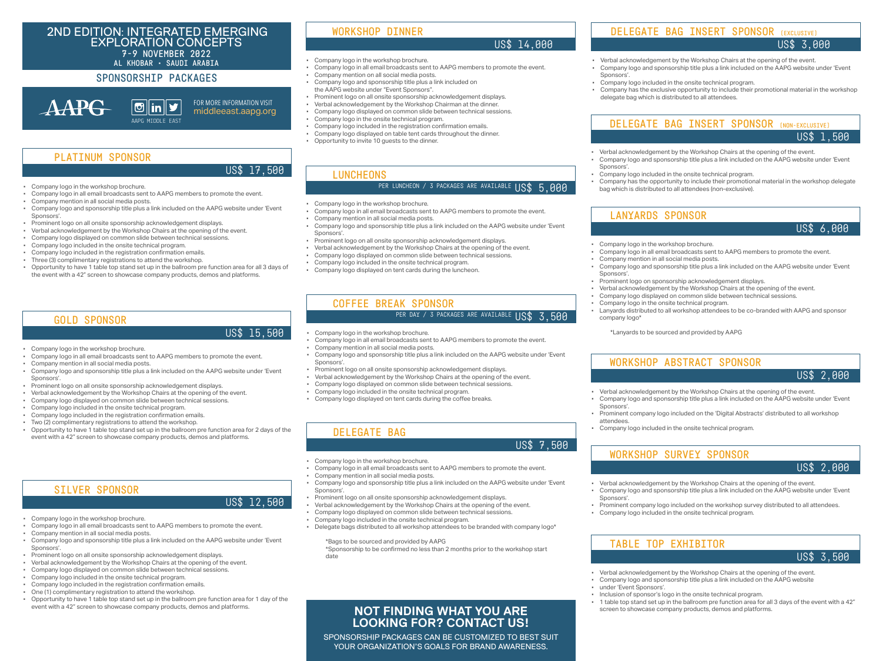#### **NOT FINDING WHAT YOU ARE LOOKING FOR? CONTACT US!**

SPONSORSHIP PACKAGES CAN BE CUSTOMIZED TO BEST SUIT YOUR ORGANIZATION'S GOALS FOR BRAND AWARENESS.

### SPONSORSHIP PACKAGES

**AAPG** 

#### 2ND EDITION: INTEGRATED EMERGING EXPLORATION CONCEPTS

7-9 NOVEMBER 2022

- AL KHOBAR SAUDI ARABIA Company logo in the workshop brochure.
	- Company logo in all email broadcasts sent to AAPG members to promote the event.
	- Company mention on all social media posts.
	- Company logo and sponsorship title plus a link included on the AAPG website under "Event Sponsors".
	- Prominent logo on all onsite sponsorship acknowledgement displays.
	- Verbal acknowledgement by the Workshop Chairman at the dinner.
	- Company logo displayed on common slide between technical sessions.
	- Company logo in the onsite technical program.
	- Company logo included in the registration confirmation emails.
	- Company logo displayed on table tent cards throughout the dinner.
	- Opportunity to invite 10 guests to the dinner.

#### WORKSHOP DINNER

#### US\$ 14,000

- Company logo in the workshop brochure.
- Company logo in all email broadcasts sent to AAPG members to promote the event.
- Company mention in all social media posts.
- Company logo and sponsorship title plus a link included on the AAPG website under 'Event Sponsors'.
- Prominent logo on all onsite sponsorship acknowledgement displays.
- Verbal acknowledgement by the Workshop Chairs at the opening of the event.
- Company logo displayed on common slide between technical sessions.
- Company logo included in the onsite technical program.
- Company logo displayed on tent cards during the luncheon.

#### LUNCHEONS

## PER LUNCHEON / 3 PACKAGES ARE AVAILABLE US\$ 5,000

- 
- Company logo in all email broadcasts sent to AAPG members to promote the event.
- Company mention in all social media posts.
- Company logo and sponsorship title plus a link included on the AAPG website under 'Event Sponsors'.
- Prominent logo on all onsite sponsorship acknowledgement displays.
- Verbal acknowledgement by the Workshop Chairs at the opening of the event.
- Company logo displayed on common slide between technical sessions.
- Company logo included in the onsite technical program.
- Company logo included in the registration confirmation emails.
- Three (3) complimentary registrations to attend the workshop.
- Opportunity to have 1 table top stand set up in the ballroom pre function area for all 3 days of the event with a 42" screen to showcase company products, demos and platforms.

PLATINUM SPONSOR

#### US\$ 17,500

- Company logo in the workshop brochure.
- Company logo in all email broadcasts sent to AAPG members to promote the event.
- Company mention in all social media posts.
- Company logo and sponsorship title plus a link included on the AAPG website under 'Event Sponsors'.
- Prominent logo on all onsite sponsorship acknowledgement displays.
- Verbal acknowledgement by the Workshop Chairs at the opening of the event.
- Company logo displayed on common slide between technical sessions.
- Company logo included in the onsite technical program.
- Delegate bags distributed to all workshop attendees to be branded with company logo\*

\*Bags to be sourced and provided by AAPG \*Sponsorship to be confirmed no less than 2 months prior to the workshop start date

#### DELEGATE BAG

#### US\$ 7,500

- Verbal acknowledgement by the Workshop Chairs at the opening of the event.
- Company logo and sponsorship title plus a link included on the AAPG website under 'Event Sponsors'.
- Company logo included in the onsite technical program.
- Company has the opportunity to include their promotional material in the workshop delegate bag which is distributed to all attendees (non-exclusive).

#### DELEGATE BAG INSERT SPONSOR (NON-EXCLUSIVE) US\$ 1,500

- Company logo in the workshop brochure.
- Company logo in all email broadcasts sent to AAPG members to promote the event.
- Company mention in all social media posts.
- Company logo and sponsorship title plus a link included on the AAPG website under 'Event Sponsors'.
- Prominent logo on sponsorship acknowledgement displays.
- Verbal acknowledgement by the Workshop Chairs at the opening of the event.
- Company logo displayed on common slide between technical sessions.
- Company logo in the onsite technical program.
- Lanyards distributed to all workshop attendees to be co-branded with AAPG and sponsor company logo\*

\*Lanyards to be sourced and provided by AAPG

### LANYARDS SPONSOR

US\$ 6,000

- Verbal acknowledgement by the Workshop Chairs at the opening of the event. • Company logo and sponsorship title plus a link included on the AAPG website under 'Event
- Sponsors'. • Prominent company logo included on the workshop survey distributed to all attendees.
- Company logo included in the onsite technical program.

- Verbal acknowledgement by the Workshop Chairs at the opening of the event.
- Company logo and sponsorship title plus a link included on the AAPG website
- under 'Event Sponsors'.
- Inclusion of sponsor's logo in the onsite technical program.
- 1 table top stand set up in the ballroom pre function area for all 3 days of the event with a 42" screen to showcase company products, demos and platforms.

# WORKSHOP SURVEY SPONSOR

US\$ 2,000

# TABLE TOP EXHIBITOR

US\$ 3,500

- Verbal acknowledgement by the Workshop Chairs at the opening of the event.
- Company logo and sponsorship title plus a link included on the AAPG website under 'Event Sponsors'.
- Prominent company logo included on the 'Digital Abstracts' distributed to all workshop attendees.
- Company logo included in the onsite technical program.

#### WORKSHOP ABSTRACT SPONSOR

US\$ 2,000

- Company logo in the workshop brochure.
- Company logo in all email broadcasts sent to AAPG members to promote the event.
- Company mention in all social media posts.
- Company logo and sponsorship title plus a link included on the AAPG website under 'Event Sponsors'.
- Prominent logo on all onsite sponsorship acknowledgement displays.
- Verbal acknowledgement by the Workshop Chairs at the opening of the event.
- Company logo displayed on common slide between technical sessions.
- Company logo included in the onsite technical program.
- Company logo included in the registration confirmation emails.
- Two (2) complimentary registrations to attend the workshop.
- Opportunity to have 1 table top stand set up in the ballroom pre function area for 2 days of the event with a 42" screen to showcase company products, demos and platforms.

#### GOLD SPONSOR

## US\$ 15,500

- Company logo in the workshop brochure.
- Company logo in all email broadcasts sent to AAPG members to promote the event.
- Company mention in all social media posts.
- Company logo and sponsorship title plus a link included on the AAPG website under 'Event Sponsors'.
- Prominent logo on all onsite sponsorship acknowledgement displays.
- Verbal acknowledgement by the Workshop Chairs at the opening of the event.
- Company logo displayed on common slide between technical sessions.
- Company logo included in the onsite technical program.
- Company logo included in the registration confirmation emails.
- One (1) complimentary registration to attend the workshop.
- Opportunity to have 1 table top stand set up in the ballroom pre function area for 1 day of the event with a 42" screen to showcase company products, demos and platforms.

#### SILVER SPONSOR

#### US\$ 12,500

- Verbal acknowledgement by the Workshop Chairs at the opening of the event.
- Company logo and sponsorship title plus a link included on the AAPG website under 'Event Sponsors'.
- Company logo included in the onsite technical program.
- Company has the exclusive opportunity to include their promotional material in the workshop delegate bag which is distributed to all attendees.

#### DELEGATE BAG INSERT SPONSOR (EXCLUSIVE)

#### US\$ 3,000

- Company logo in the workshop brochure.
- Company logo in all email broadcasts sent to AAPG members to promote the event.
- Company mention in all social media posts.
- Company logo and sponsorship title plus a link included on the AAPG website under 'Event Sponsors'.
- Prominent logo on all onsite sponsorship acknowledgement displays.
- Verbal acknowledgement by the Workshop Chairs at the opening of the event.
- Company logo displayed on common slide between technical sessions.
- Company logo included in the onsite technical program.
- Company logo displayed on tent cards during the coffee breaks.

# COFFEE BREAK SPONSOR

# PER DAY / 3 PACKAGES ARE AVAILABLE US\$ 3,500

FOR MORE INFORMATION VISIT  $\boxed{\Theta}$  $\| \mathbf{in} \| \mathbf{y} \|$ [middleeast.aapg.org](https://www.aapg.org/global/middleeast) AAPG MIDDLE EAST